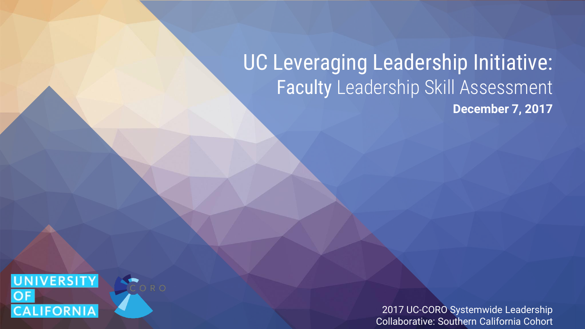#### UC Leveraging Leadership Initiative: Faculty Leadership Skill Assessment **December 7, 2017**



2017 UC-CORO Systemwide Leadership Collaborative: Southern California Cohort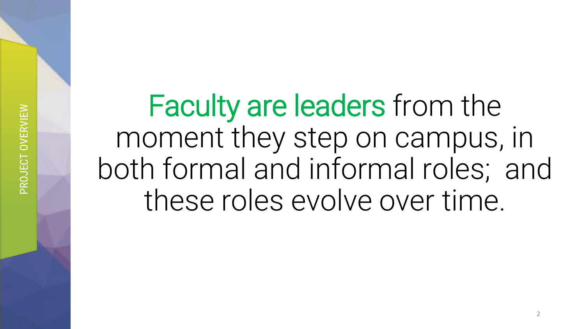PROJECT OVERVIEW PROJECT OVERVIEW

Faculty are leaders from the moment they step on campus, in both formal and informal roles; and these roles evolve over time.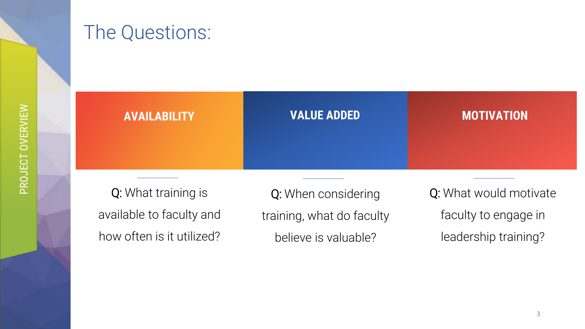#### The Questions:



Q: What training is available to faculty and how often is it utilized?

Q: When considering training, what do faculty believe is valuable?

Q: What would motivate faculty to engage in leadership training?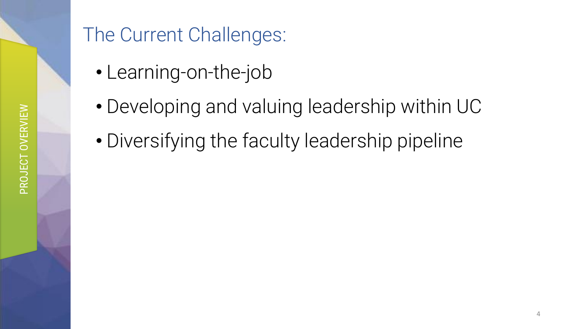#### The Current Challenges:

- Learning-on-the-job
- Developing and valuing leadership within UC
- Diversifying the faculty leadership pipeline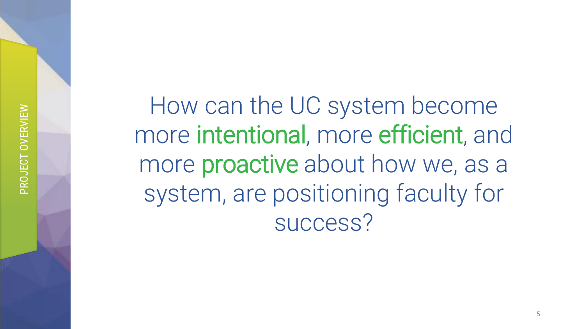How can the UC system become more intentional, more efficient, and more proactive about how we, as a system, are positioning faculty for success?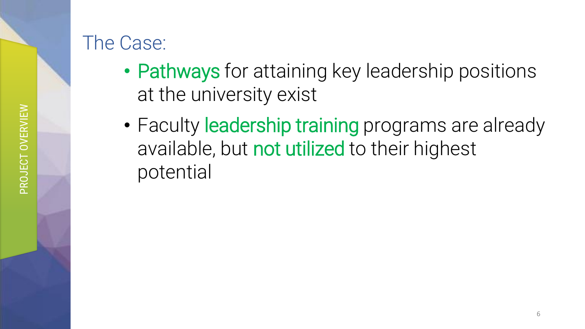- Pathways for attaining key leadership positions at the university exist
- Faculty leadership training programs are already available, but not utilized to their highest potential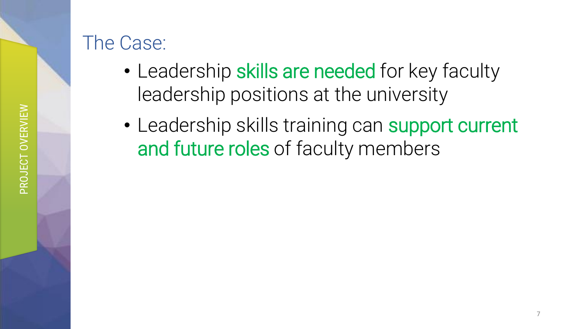#### The Case:

- Leadership skills are needed for key faculty leadership positions at the university
- Leadership skills training can support current and future roles of faculty members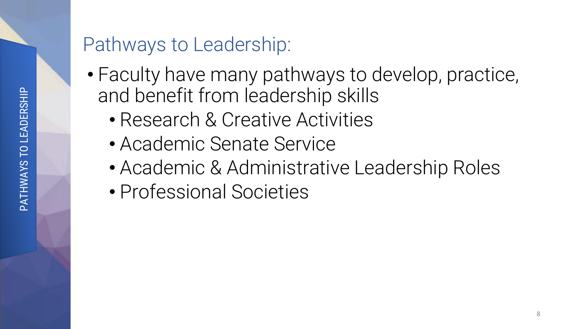#### Pathways to Leadership:

- Faculty have many pathways to develop, practice, and benefit from leadership skills
	- Research & Creative Activities
	- Academic Senate Service
	- Academic & Administrative Leadership Roles
	- Professional Societies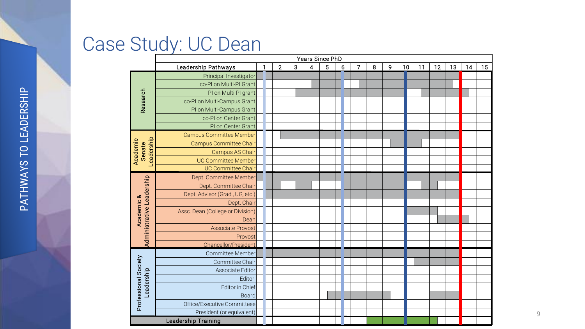#### Case Study: UC Dean

|                                    | e Study: UC Dean<br>Years Since PhD |              |                |   |                |   |   |   |   |   |    |    |    |    |    |    |
|------------------------------------|-------------------------------------|--------------|----------------|---|----------------|---|---|---|---|---|----|----|----|----|----|----|
|                                    | Leadership Pathways                 | $\mathbf{1}$ | $\overline{2}$ | 3 | $\overline{4}$ | 5 | 6 | 7 | 8 | 9 | 10 | 11 | 12 | 13 | 14 | 15 |
| Research                           | Principal Investigator              |              |                |   |                |   |   |   |   |   |    |    |    |    |    |    |
|                                    | co-PI on Multi-PI Grant             |              |                |   |                |   |   |   |   |   |    |    |    |    |    |    |
|                                    | PI on Multi-PI grant                |              |                |   |                |   |   |   |   |   |    |    |    |    |    |    |
|                                    | co-PI on Multi-Campus Grant         |              |                |   |                |   |   |   |   |   |    |    |    |    |    |    |
|                                    | PI on Multi-Campus Grant            |              |                |   |                |   |   |   |   |   |    |    |    |    |    |    |
|                                    | co-PI on Center Grant               |              |                |   |                |   |   |   |   |   |    |    |    |    |    |    |
|                                    | PI on Center Grant                  |              |                |   |                |   |   |   |   |   |    |    |    |    |    |    |
|                                    | <b>Campus Committee Member</b>      |              |                |   |                |   |   |   |   |   |    |    |    |    |    |    |
| Leadership<br>Academic<br>Senate   | <b>Campus Committee Chair</b>       |              |                |   |                |   |   |   |   |   |    |    |    |    |    |    |
|                                    | Campus AS Chair                     |              |                |   |                |   |   |   |   |   |    |    |    |    |    |    |
|                                    | <b>UC Committee Member</b>          |              |                |   |                |   |   |   |   |   |    |    |    |    |    |    |
|                                    | <b>UC Committee Chair</b>           |              |                |   |                |   |   |   |   |   |    |    |    |    |    |    |
|                                    | Dept. Committee Member              |              |                |   |                |   |   |   |   |   |    |    |    |    |    |    |
|                                    | Dept. Committee Chair               |              |                |   |                |   |   |   |   |   |    |    |    |    |    |    |
| Administrative Leadership          | Dept. Advisor (Grad., UG, etc.)     |              |                |   |                |   |   |   |   |   |    |    |    |    |    |    |
|                                    | Dept. Chair                         |              |                |   |                |   |   |   |   |   |    |    |    |    |    |    |
| Academic &                         | Assc. Dean (College or Division)    |              |                |   |                |   |   |   |   |   |    |    |    |    |    |    |
|                                    | Dean                                |              |                |   |                |   |   |   |   |   |    |    |    |    |    |    |
|                                    | <b>Associate Provost</b>            |              |                |   |                |   |   |   |   |   |    |    |    |    |    |    |
|                                    | Provost                             |              |                |   |                |   |   |   |   |   |    |    |    |    |    |    |
|                                    | Chancellor/President                |              |                |   |                |   |   |   |   |   |    |    |    |    |    |    |
| Professional Society<br>Leadership | Committee Member                    |              |                |   |                |   |   |   |   |   |    |    |    |    |    |    |
|                                    | Committee Chair                     |              |                |   |                |   |   |   |   |   |    |    |    |    |    |    |
|                                    | Associate Editor                    |              |                |   |                |   |   |   |   |   |    |    |    |    |    |    |
|                                    | Editor                              |              |                |   |                |   |   |   |   |   |    |    |    |    |    |    |
|                                    | Editor in Chief                     |              |                |   |                |   |   |   |   |   |    |    |    |    |    |    |
|                                    | <b>Board</b>                        |              |                |   |                |   |   |   |   |   |    |    |    |    |    |    |
|                                    | Office/Executive Committeee         |              |                |   |                |   |   |   |   |   |    |    |    |    |    |    |
|                                    | President (or equivalent)           |              |                |   |                |   |   |   |   |   |    |    |    |    |    |    |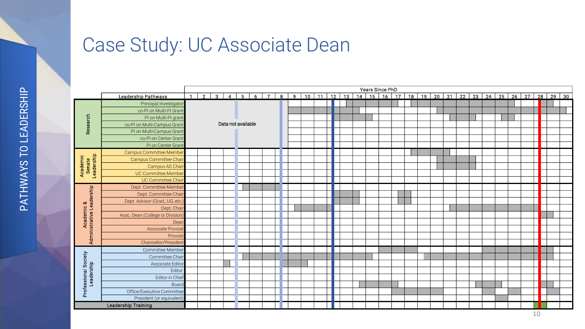#### Case Study: UC Associate Dean

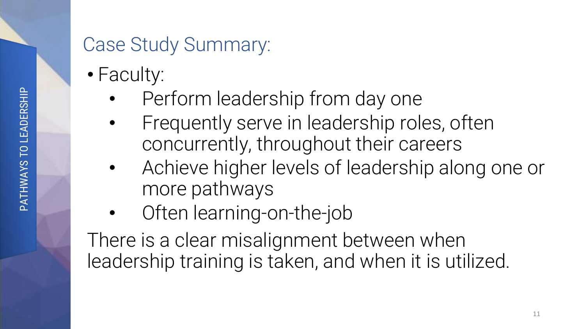#### Case Study Summary:

- Faculty:
	- Perform leadership from day one
	- Frequently serve in leadership roles, often concurrently, throughout their careers
	- Achieve higher levels of leadership along one or more pathways
	- Often learning-on-the-job

There is a clear misalignment between when leadership training is taken, and when it is utilized.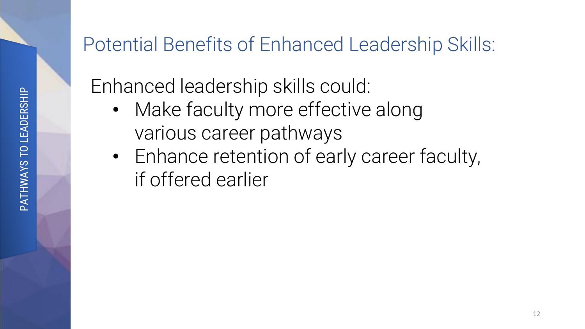#### Potential Benefits of Enhanced Leadership Skills:

Enhanced leadership skills could:

- Make faculty more effective along various career pathways
- Enhance retention of early career faculty, if offered earlier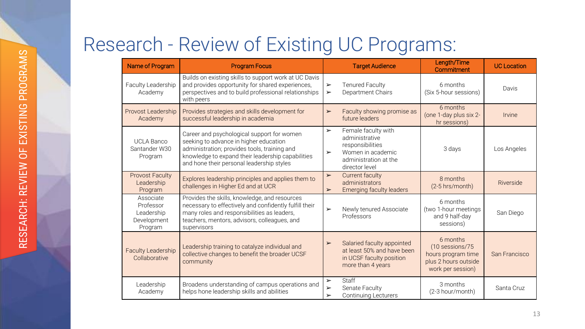### Research - Review of Existing UC Programs:

| Name of Program                                                | <b>Program Focus</b>                                                                                                                                                                                                                   |                                                     | <b>Target Audience</b>                                                                                                    | Length/Time<br>Commitment                                                                      | <b>UC Location</b> |  |
|----------------------------------------------------------------|----------------------------------------------------------------------------------------------------------------------------------------------------------------------------------------------------------------------------------------|-----------------------------------------------------|---------------------------------------------------------------------------------------------------------------------------|------------------------------------------------------------------------------------------------|--------------------|--|
| Faculty Leadership<br>Academy                                  | Builds on existing skills to support work at UC Davis<br>and provides opportunity for shared experiences,<br>perspectives and to build professional relationships<br>with peers                                                        | $\blacktriangleright$<br>$\blacktriangleright$      | <b>Tenured Faculty</b><br>Department Chairs                                                                               | 6 months<br>(Six 5-hour sessions)                                                              | Davis              |  |
| Provost Leadership<br>Academy                                  | Provides strategies and skills development for<br>successful leadership in academia                                                                                                                                                    | $\blacktriangleright$                               | Faculty showing promise as<br>future leaders                                                                              | 6 months<br>(one 1-day plus six 2-<br>hr sessions)                                             | Irvine             |  |
| <b>UCLA Banco</b><br>Santander W30<br>Program                  | Career and psychological support for women<br>seeking to advance in higher education<br>administration; provides tools, training and<br>knowledge to expand their leadership capabilities<br>and hone their personal leadership styles | $\blacktriangleright$<br>$\blacktriangleright$      | Female faculty with<br>administrative<br>responsibilities<br>Women in academic<br>administration at the<br>director level | 3 days                                                                                         | Los Angeles        |  |
| <b>Provost Faculty</b><br>Leadership<br>Program                | Explores leadership principles and applies them to<br>challenges in Higher Ed and at UCR                                                                                                                                               | $\blacktriangleright$<br>$\blacktriangleright$      | <b>Current faculty</b><br>administrators<br><b>Emerging faculty leaders</b>                                               | 8 months<br>(2-5 hrs/month)                                                                    | Riverside          |  |
| Associate<br>Professor<br>Leadership<br>Development<br>Program | Provides the skills, knowledge, and resources<br>necessary to effectively and confidently fulfill their<br>many roles and responsibilities as leaders,<br>teachers, mentors, advisors, colleagues, and<br>supervisors                  | $\blacktriangleright$                               | Newly tenured Associate<br>Professors                                                                                     | 6 months<br>(two 1-hour meetings<br>and 9 half-day<br>sessions)                                | San Diego          |  |
| <b>Faculty Leadership</b><br>Collaborative                     | Leadership training to catalyze individual and<br>collective changes to benefit the broader UCSF<br>community                                                                                                                          | $\blacktriangleright$                               | Salaried faculty appointed<br>at least 50% and have been<br>in UCSF faculty position<br>more than 4 years                 | 6 months<br>(10 sessions/75<br>hours program time<br>plus 2 hours outside<br>work per session) | San Francisco      |  |
| Leadership<br>Academy                                          | Broadens understanding of campus operations and<br>helps hone leadership skills and abilities                                                                                                                                          | $\blacktriangleright$<br>$\blacktriangleright$<br>➤ | Staff<br>Senate Faculty<br><b>Continuing Lecturers</b>                                                                    | 3 months<br>(2-3 hour/month)                                                                   | Santa Cruz         |  |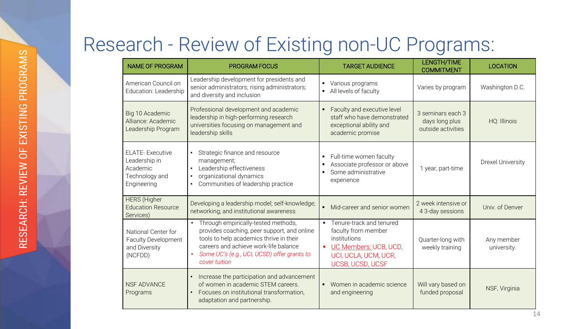### Research - Review of Existing non-UC Programs:

| <b>NAME OF PROGRAM</b>                                                               | <b>PROGRAM FOCUS</b>                                                                                                                                                                                                                                | <b>TARGET AUDIENCE</b>                                                                                                                                      | <b>LENGTH/TIME</b><br><b>COMMITMENT</b>                   | <b>LOCATION</b>           |  |
|--------------------------------------------------------------------------------------|-----------------------------------------------------------------------------------------------------------------------------------------------------------------------------------------------------------------------------------------------------|-------------------------------------------------------------------------------------------------------------------------------------------------------------|-----------------------------------------------------------|---------------------------|--|
| American Council on<br>Education: Leadership                                         | Leadership development for presidents and<br>senior administrators; rising administrators;<br>and diversity and inclusion                                                                                                                           | Various programs<br>All levels of faculty<br>٠                                                                                                              | Varies by program                                         | Washington D.C.           |  |
| Big 10 Academic<br>Alliance: Academic<br>Leadership Program                          | Professional development and academic<br>leadership in high-performing research<br>universities focusing on management and<br>leadership skills                                                                                                     | Faculty and executive level<br>٠<br>staff who have demonstrated<br>exceptional ability and<br>academic promise                                              | 3 seminars each 3<br>days long plus<br>outside activities | HQ: Illinois              |  |
| <b>ELATE-Executive</b><br>Leadership in<br>Academic<br>Technology and<br>Engineering | Strategic finance and resource<br>$\bullet$<br>management;<br>Leadership effectiveness<br>$\bullet$<br>organizational dynamics<br>$\bullet$<br>Communities of leadership practice                                                                   | Full-time women faculty<br>٠<br>Associate professor or above<br>٠<br>Some administrative<br>٠<br>experience                                                 | 1 year, part-time                                         | <b>Drexel University</b>  |  |
| <b>HERS</b> (Higher<br><b>Education Resource</b><br>Services)                        | Developing a leadership model; self-knowledge;<br>networking; and institutional awareness                                                                                                                                                           | Mid-career and senior women<br>$\blacksquare$                                                                                                               | 2 week intensive or<br>4 3-day sessions                   | Univ. of Denver           |  |
| National Center for<br><b>Faculty Development</b><br>and Diversity<br>(NCFDD)        | Through empirically-tested methods,<br>$\bullet$<br>provides coaching, peer support, and online<br>tools to help academics thrive in their<br>careers and achieve work-life balance<br>Some UC's (e.g., UCI, UCSD) offer grants to<br>cover tuition | Tenure-track and tenured<br>$\blacksquare$<br>faculty from member<br>institutions<br>UC Members: UCB, UCD,<br>п<br>UCI, UCLA, UCM, UCR,<br>UCSB, UCSD, UCSF | Quarter-long with<br>weekly training                      | Any member<br>university. |  |
| <b>NSF ADVANCE</b><br>Programs                                                       | Increase the participation and advancement<br>$\bullet$<br>of women in academic STEM careers.<br>Focuses on institutional transformation,<br>$\bullet$<br>adaptation and partnership.                                                               | Women in academic science<br>and engineering                                                                                                                | Will vary based on<br>funded proposal                     | NSF, Virginia             |  |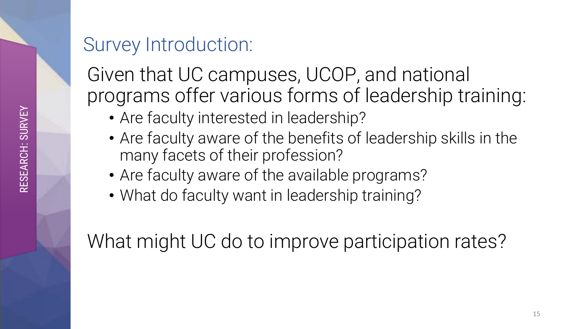#### Survey Introduction:

Given that UC campuses, UCOP, and national programs offer various forms of leadership training:

- Are faculty interested in leadership?
- Are faculty aware of the benefits of leadership skills in the many facets of their profession?
- Are faculty aware of the available programs?
- What do faculty want in leadership training?

What might UC do to improve participation rates?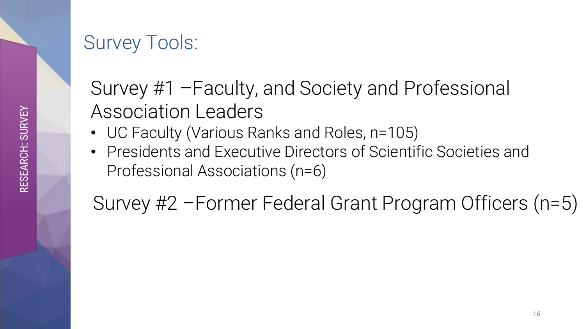#### Survey Tools:

#### Survey #1 –Faculty, and Society and Professional Association Leaders

- UC Faculty (Various Ranks and Roles, n=105)
- Presidents and Executive Directors of Scientific Societies and Professional Associations (n=6)

Survey #2 –Former Federal Grant Program Officers (n=5)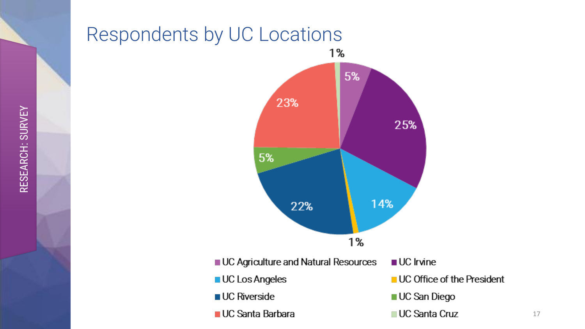#### Respondents by UC Locations



17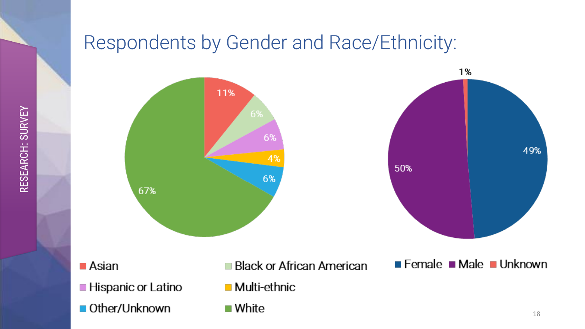





■ Asian

■ Other/Unknown

- **Multi-ethnic Hispanic or Latino** 
	-
	- White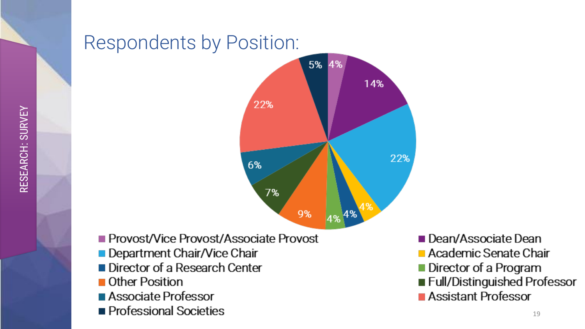

- Provost/Vice Provost/Associate Provost
- Department Chair/Vice Chair
- Director of a Research Center
- **Other Position**
- Associate Professor
- Professional Societies

Dean/Associate Dean

- Academic Senate Chair
- Director of a Program
- Full/Distinguished Professor
- Assistant Professor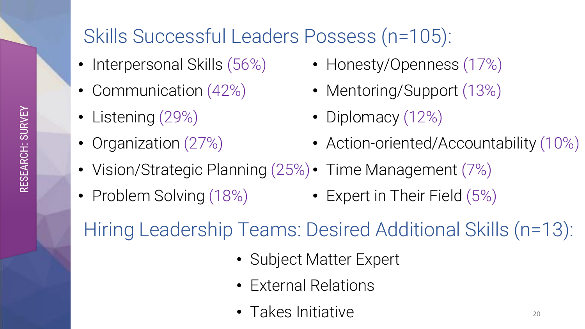#### Skills Successful Leaders Possess (n=105):

- Interpersonal Skills (56%)
- Communication (42%)
- Listening (29%)
- Organization (27%)
- Honesty/Openness (17%)
- Mentoring/Support (13%)
- Diplomacy (12%)
- Action-oriented/Accountability (10%)
- Vision/Strategic Planning (25%) Time Management (7%)
- Problem Solving (18%) Expert in Their Field (5%)

Hiring Leadership Teams: Desired Additional Skills (n=13):

- Subject Matter Expert
- External Relations
- Takes Initiative 20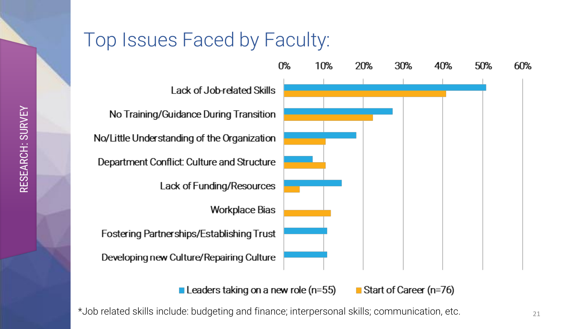#### Top Issues Faced by Faculty:



Leaders taking on a new role ( $n=55$ ) Start of Career (n=76)

 $*$ Job related skills include: budgeting and finance; interpersonal skills; communication, etc.  $21$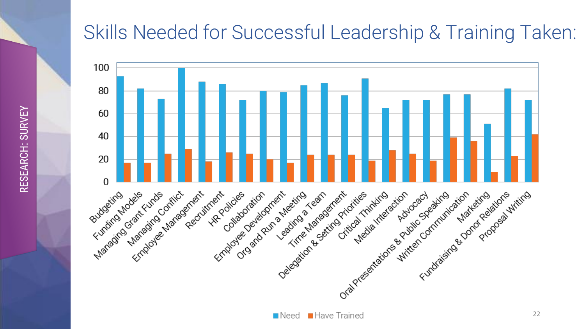#### Skills Needed for Successful Leadership & Training Taken:

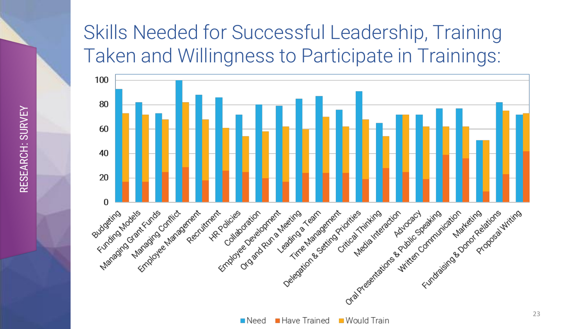#### Skills Needed for Successful Leadership, Training Taken and Willingness to Participate in Trainings:



■ Have Trained  $\blacksquare$  Would Train  $\blacksquare$  Need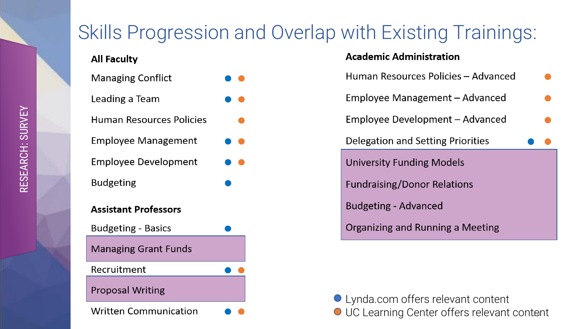#### Skills Progression and Overlap with Existing Trainings:

| <b>All Faculty</b>              |  |
|---------------------------------|--|
| <b>Managing Conflict</b>        |  |
| Leading a Team                  |  |
| <b>Human Resources Policies</b> |  |
| <b>Employee Management</b>      |  |
| Employee Development            |  |
| Budgeting                       |  |
| <b>Assistant Professors</b>     |  |
| <b>Budgeting - Basics</b>       |  |
| <b>Managing Grant Funds</b>     |  |
| Recruitment                     |  |
| <b>Proposal Writing</b>         |  |
| <b>Written Communication</b>    |  |

#### **Academic Administration**

| Human Resources Policies – Advanced      |  |
|------------------------------------------|--|
| Employee Management – Advanced           |  |
| Employee Development – Advanced          |  |
| <b>Delegation and Setting Priorities</b> |  |
| <b>University Funding Models</b>         |  |
| <b>Fundraising/Donor Relations</b>       |  |
| <b>Budgeting - Advanced</b>              |  |
| Organizing and Running a Meeting         |  |

Lynda.com offers relevant content UC Learning Center offers relevant content <sup>24</sup>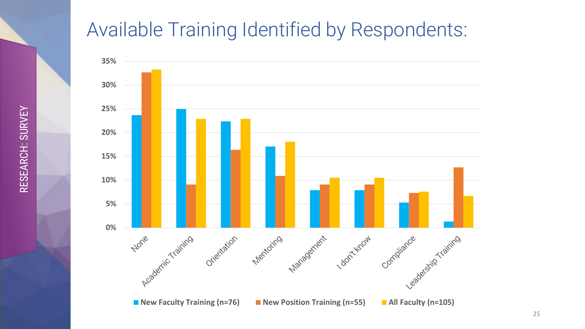#### Available Training Identified by Respondents:

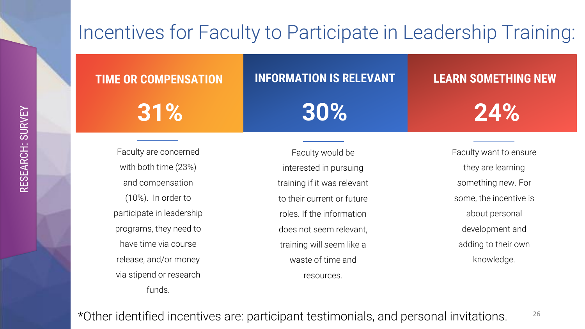#### Incentives for Faculty to Participate in Leadership Training:

#### **TIME OR COMPENSATION**

**31%**

#### **INFORMATION IS RELEVANT**

**30%**

#### **LEARN SOMETHING NEW**

**24%**

Faculty are concerned with both time (23%) and compensation (10%). In order to participate in leadership programs, they need to have time via course release, and/or money via stipend or research funds.

Faculty would be interested in pursuing training if it was relevant to their current or future roles. If the information does not seem relevant, training will seem like a waste of time and resources.

Faculty want to ensure they are learning something new. For some, the incentive is about personal development and adding to their own knowledge.

#### \*Other identified incentives are: participant testimonials, and personal invitations. 26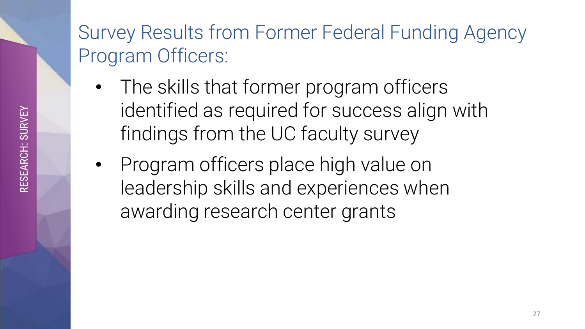#### Survey Results from Former Federal Funding Agency Program Officers:

- The skills that former program officers identified as required for success align with findings from the UC faculty survey
- Program officers place high value on leadership skills and experiences when awarding research center grants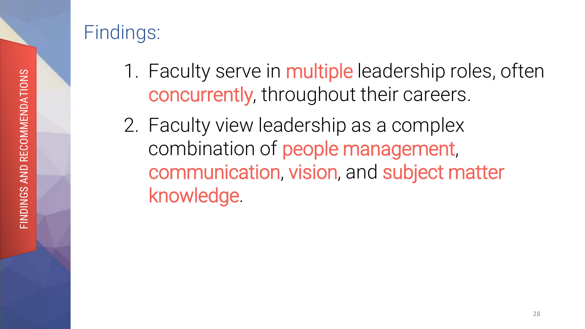#### Findings:

- 1. Faculty serve in multiple leadership roles, often concurrently, throughout their careers.
- 2. Faculty view leadership as a complex combination of people management, communication, vision, and subject matter knowledge.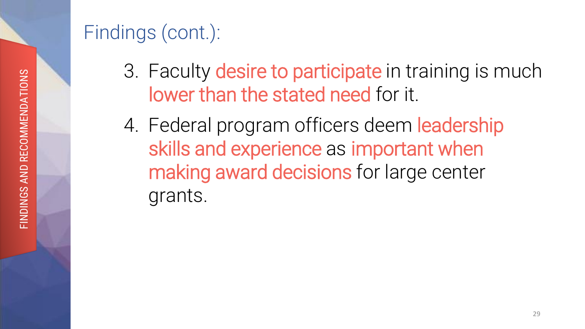### Findings (cont.):

- 3. Faculty desire to participate in training is much lower than the stated need for it.
- **24%** 4. Federal program officers deem leadership skills and experience as important when making award decisions for large center grants.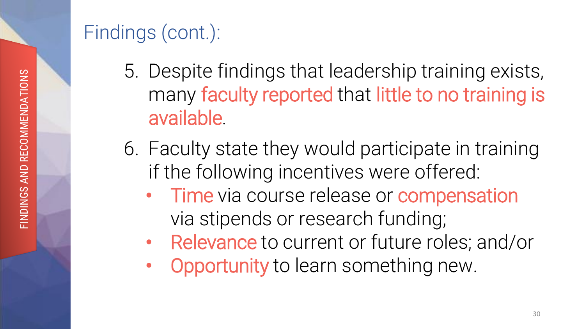### Findings (cont.):

- 5. Despite findings that leadership training exists, **24%** many faculty reported that little to no training is available.
- 6. Faculty state they would participate in training if the following incentives were offered:
	- Time via course release or compensation via stipends or research funding;
	- Relevance to current or future roles; and/or
	- **Opportunity** to learn something new.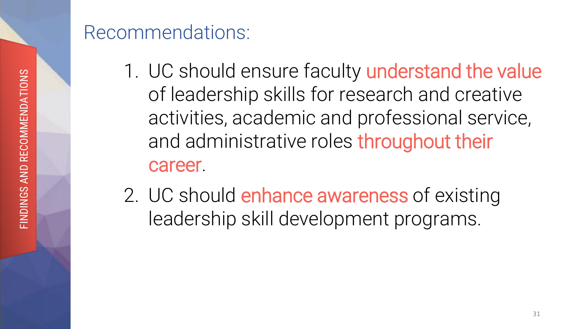#### Recommendations:

- 1. UC should ensure faculty understand the value activities, academic and professional service, of leadership skills for research and creative and administrative roles throughout their career.
- 2. UC should enhance awareness of existing leadership skill development programs.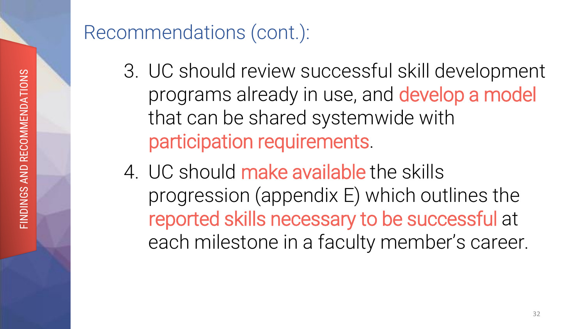- 3. UC should review successful skill development programs already in use, and develop a model that can be shared systemwide with participation requirements.
- 4. UC should make available the skills progression (appendix E) which outlines the reported skills necessary to be successful at each milestone in a faculty member's career.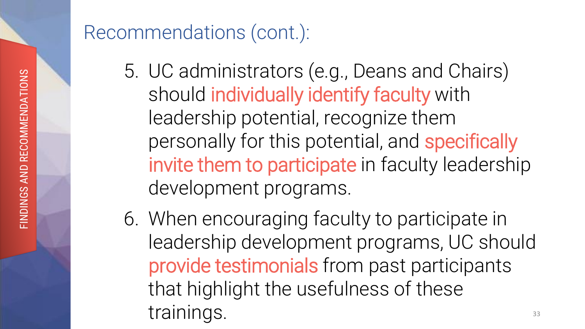- 5. UC administrators (e.g., Deans and Chairs) should individually identify faculty with leadership potential, recognize them personally for this potential, and specifically invite them to participate in faculty leadership development programs.
- 6. When encouraging faculty to participate in leadership development programs, UC should provide testimonials from past participants that highlight the usefulness of these trainings. 33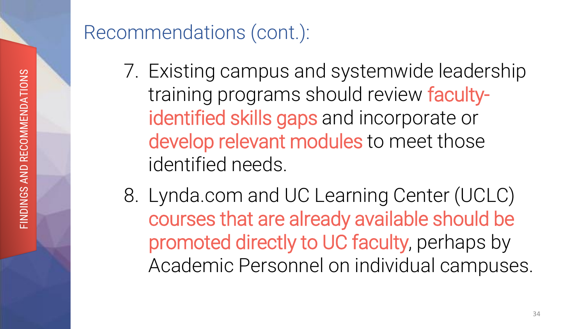- 7. Existing campus and systemwide leadership identified skills gaps and incorporate or training programs should review facultydevelop relevant modules to meet those identified needs.
- 8. Lynda.com and UC Learning Center (UCLC) courses that are already available should be promoted directly to UC faculty, perhaps by Academic Personnel on individual campuses.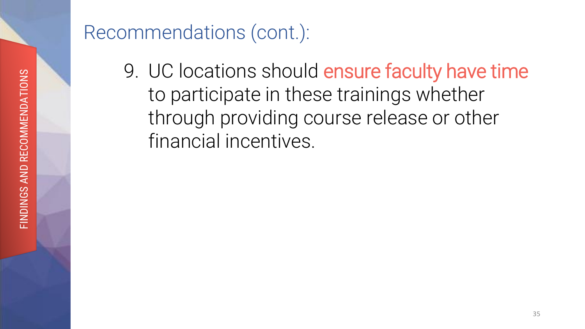9. UC locations should ensure faculty have time through providing course release or other to participate in these trainings whether financial incentives.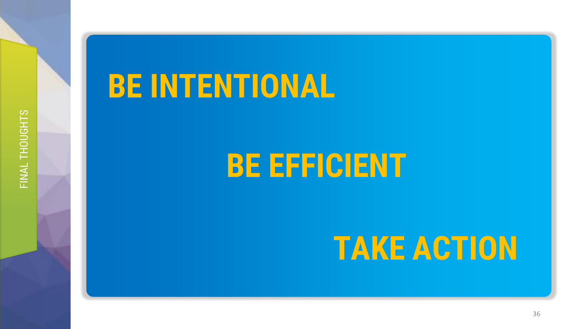## **BE INTENTIONAL**

## **BE EFFICIENT**

## **TAKE ACTION**